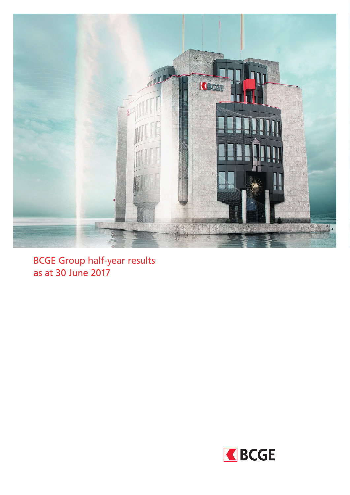

BCGE Group half-year results as at 30 June 2017

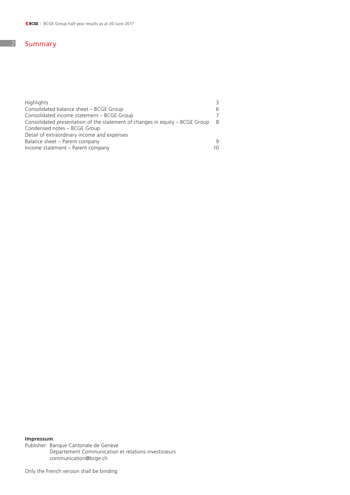## 2 Summary

| <b>Highlights</b>                                                            |    |
|------------------------------------------------------------------------------|----|
| Consolidated balance sheet - BCGE Group                                      |    |
| Consolidated income statement – BCGE Group                                   |    |
| Consolidated presentation of the statement of changes in equity - BCGE Group | -8 |
| Condensed notes - BCGE Group                                                 |    |
| Detail of extraordinary income and expenses                                  |    |
| Balance sheet - Parent company                                               |    |
| Income statement - Parent company                                            | 10 |

## **Impressum**

Publisher: Banque Cantonale de Genève Département Communication et relations investisseurs communication@bcge.ch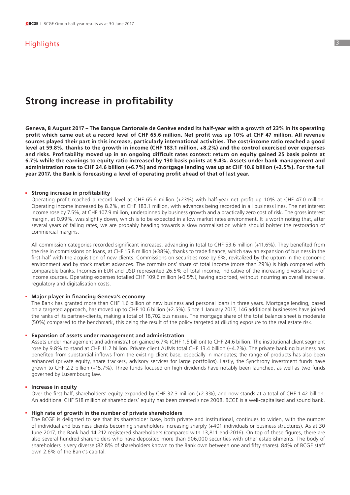## **Highlights**

# **Strong increase in profitability**

**Geneva, 8 August 2017 – The Banque Cantonale de Genève ended its half-year with a growth of 23% in its operating profit which came out at a record level of CHF 65.6 million. Net profit was up 10% at CHF 47 million. All revenue sources played their part in this increase, particularly international activities. The cost/income ratio reached a good level at 59.8%, thanks to the growth in income (CHF 183.1 million, +8.2%) and the control exercised over expenses and risks. Profitability moved up in an ongoing difficult rates context: return on equity gained 25 basis points at 6.7% while the earnings to equity ratio increased by 130 basis points at 9.4%. Assets under bank management and administration rose to CHF 24.6 billion (+6.7%) and mortgage lending was up at CHF 10.6 billion (+2.5%). For the full year 2017, the Bank is forecasting a level of operating profit ahead of that of last year.**

#### **. Strong increase in profitability**

 Operating profit reached a record level at CHF 65.6 million (+23%) with half-year net profit up 10% at CHF 47.0 million. Operating income increased by 8.2%, at CHF 183.1 million, with advances being recorded in all business lines. The net interest income rose by 7.5%, at CHF 107.9 million, underpinned by business growth and a practically zero cost of risk. The gross interest margin, at 0.99%, was slightly down, which is to be expected in a low market rates environment. It is worth noting that, after several years of falling rates, we are probably heading towards a slow normalisation which should bolster the restoration of commercial margins.

 All commission categories recorded significant increases, advancing in total to CHF 53.6 million (+11.6%). They benefited from the rise in commissions on loans, at CHF 15.8 million (+38%), thanks to trade finance, which saw an expansion of business in the first-half with the acquisition of new clients. Commissions on securities rose by 6%, revitalized by the upturn in the economic environment and by stock market advances. The commissions' share of total income (more than 29%) is high compared with comparable banks. Incomes in EUR and USD represented 26.5% of total income, indicative of the increasing diversification of income sources. Operating expenses totalled CHF 109.6 million (+0.5%), having absorbed, without incurring an overall increase, regulatory and digitalisation costs.

### **. Major player in financing Geneva's economy**

 The Bank has granted more than CHF 1.6 billion of new business and personal loans in three years. Mortgage lending, based on a targeted approach, has moved up to CHF 10.6 billion (+2.5%). Since 1 January 2017, 146 additional businesses have joined the ranks of its partner-clients, making a total of 18,702 businesses. The mortgage share of the total balance sheet is moderate (50%) compared to the benchmark, this being the result of the policy targeted at diluting exposure to the real estate risk.

#### **. Expansion of assets under management and administration**

 Assets under management and administration gained 6.7% (CHF 1.5 billion) to CHF 24.6 billion. The institutional client segment rose by 9.8% to stand at CHF 11.2 billion. Private client AUMs total CHF 13.4 billion (+4.2%). The private banking business has benefited from substantial inflows from the existing client base, especially in mandates; the range of products has also been enhanced (private equity, share trackers, advisory services for large portfolios). Lastly, the Synchrony investment funds have grown to CHF 2.2 billion (+15.7%). Three funds focused on high dividends have notably been launched, as well as two funds governed by Luxembourg law.

#### **. Increase in equity**

 Over the first half, shareholders' equity expanded by CHF 32.3 million (+2.3%), and now stands at a total of CHF 1.42 billion. An additional CHF 518 million of shareholders' equity has been created since 2008. BCGE is a well-capitalised and sound bank.

#### **. High rate of growth in the number of private shareholders**

 The BCGE is delighted to see that its shareholder base, both private and institutional, continues to widen, with the number of individual and business clients becoming shareholders increasing sharply (+401 individuals or business structures). As at 30 June 2017, the Bank had 14,212 registered shareholders (compared with 13,811 end-2016). On top of these figures, there are also several hundred shareholders who have deposited more than 906,000 securities with other establishments. The body of shareholders is very diverse (82.8% of shareholders known to the Bank own between one and fifty shares). 84% of BCGE staff own 2.6% of the Bank's capital.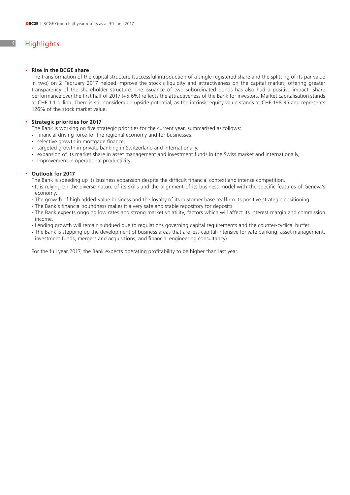## 4 Highlights

#### **. Rise in the BCGE share**

 The transformation of the capital structure (successful introduction of a single registered share and the splitting of its par value in two) on 2 February 2017 helped improve the stock's liquidity and attractiveness on the capital market, offering greater transparency of the shareholder structure. The issuance of two subordinated bonds has also had a positive impact. Share performance over the first half of 2017 (+5.6%) reflects the attractiveness of the Bank for investors. Market capitalisation stands at CHF 1.1 billion. There is still considerable upside potential, as the intrinsic equity value stands at CHF 198.35 and represents 126% of the stock market value.

#### **. Strategic priorities for 2017**

 The Bank is working on five strategic priorities for the current year, summarised as follows:

- **.** financial driving force for the regional economy and for businesses,
- **.** selective growth in mortgage finance,
- 
- targeted growth in private banking in Switzerland and internationally,<br>
expansion of its market share in asset management and investment funds in the Swiss market and internationally,<br>
improvement in operational prod
- 

#### **. Outlook for 2017**

 The Bank is speeding up its business expansion despite the difficult financial context and intense competition.

- **.** It is relying on the diverse nature of its skills and the alignment of its business model with the specific features of Geneva's economy.
- The growth of high added-value business and the loyalty of its customer base reaffirm its positive strategic positioning.<br>• The Bank's financial soundness makes it a very safe and stable repository for deposits.
- 
- **.** The Bank expects ongoing low rates and strong market volatility, factors which will affect its interest margin and commission income.
- Lending growth will remain subdued due to regulations governing capital requirements and the counter-cyclical buffer.<br>- The Bank is stepping up the development of business areas that are less capital-intensive (private b
- investment funds, mergers and acquisitions, and financial engineering consultancy).

 For the full year 2017, the Bank expects operating profitability to be higher than last year.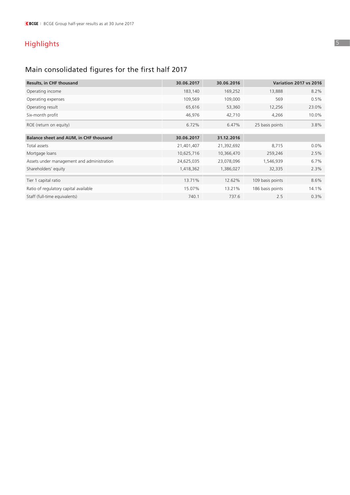# Highlights

# Main consolidated figures for the first half 2017

| Results, in CHF thousand                   | 30.06.2017 | 30.06.2016 |                  | <b>Variation 2017 vs 2016</b> |
|--------------------------------------------|------------|------------|------------------|-------------------------------|
| Operating income                           | 183,140    | 169,252    | 13,888           | 8.2%                          |
| Operating expenses                         | 109,569    | 109,000    | 569              | 0.5%                          |
| Operating result                           | 65,616     | 53,360     | 12,256           | 23.0%                         |
| Six-month profit                           | 46,976     | 42,710     | 4,266            | 10.0%                         |
| ROE (return on equity)                     | 6.72%      | 6.47%      | 25 basis points  | 3.8%                          |
|                                            |            |            |                  |                               |
| Balance sheet and AUM, in CHF thousand     | 30.06.2017 | 31.12.2016 |                  |                               |
| Total assets                               | 21,401,407 | 21,392,692 | 8,715            | $0.0\%$                       |
| Mortgage loans                             | 10,625,716 | 10,366,470 | 259,246          | 2.5%                          |
| Assets under management and administration | 24,625,035 | 23,078,096 | 1,546,939        | 6.7%                          |
| Shareholders' equity                       | 1,418,362  | 1,386,027  | 32,335           | 2.3%                          |
| Tier 1 capital ratio                       | 13.71%     | 12.62%     | 109 basis points | 8.6%                          |
| Ratio of regulatory capital available      | 15.07%     | 13.21%     | 186 basis points | 14.1%                         |
| Staff (full-time equivalents)              | 740.1      | 737.6      | 2.5              | 0.3%                          |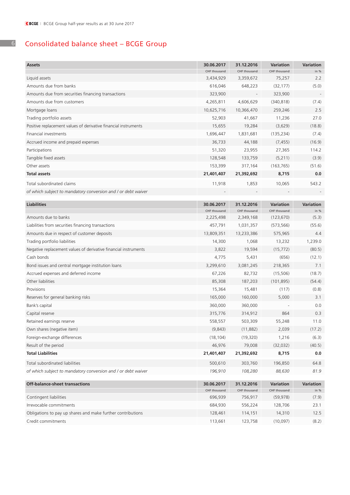## Consolidated balance sheet – BCGE Group

| <b>Assets</b>                                                   | 30.06.2017                | 31.12.2016                | Variation              | Variation   |
|-----------------------------------------------------------------|---------------------------|---------------------------|------------------------|-------------|
| Liquid assets                                                   | CHF thousand<br>3,434,929 | CHF thousand<br>3,359,672 | CHF thousand<br>75,257 | in %<br>2.2 |
| Amounts due from banks                                          | 616,046                   | 648,223                   | (32, 177)              | (5.0)       |
| Amounts due from securities financing transactions              | 323,900                   |                           | 323,900                |             |
| Amounts due from customers                                      | 4,265,811                 | 4,606,629                 | (340, 818)             | (7.4)       |
| Mortgage loans                                                  | 10,625,716                | 10,366,470                | 259,246                | 2.5         |
| Trading portfolio assets                                        | 52,903                    | 41,667                    | 11,236                 | 27.0        |
| Positive replacement values of derivative financial instruments | 15,655                    | 19,284                    | (3,629)                | (18.8)      |
| Financial investments                                           | 1,696,447                 | 1,831,681                 | (135, 234)             | (7.4)       |
| Accrued income and prepaid expenses                             | 36,733                    | 44,188                    |                        | (16.9)      |
|                                                                 |                           |                           | (7, 455)               |             |
| Participations                                                  | 51,320                    | 23,955                    | 27,365                 | 114.2       |
| Tangible fixed assets                                           | 128,548                   | 133,759                   | (5,211)                | (3.9)       |
| Other assets                                                    | 153,399                   | 317,164                   | (163, 765)             | (51.6)      |
| <b>Total assets</b>                                             | 21,401,407                | 21,392,692                | 8,715                  | 0.0         |
| Total subordinated claims                                       | 11,918                    | 1,853                     | 10,065                 | 543.2       |
| of which subject to mandatory conversion and / or debt waiver   |                           |                           |                        |             |
| <b>Liabilities</b>                                              | 30.06.2017                | 31.12.2016                | Variation              | Variation   |
|                                                                 | CHF thousand              | CHF thousand              | CHF thousand           | in %        |
| Amounts due to banks                                            | 2,225,498                 | 2,349,168                 | (123, 670)             | (5.3)       |
| Liabilities from securities financing transactions              | 457,791                   | 1,031,357                 | (573, 566)             | (55.6)      |
| Amounts due in respect of customer deposits                     | 13,809,351                | 13,233,386                | 575,965                | 4.4         |
| Trading portfolio liabilities                                   | 14,300                    | 1,068                     | 13,232                 | 1,239.0     |
| Negative replacement values of derivative financial instruments | 3,822                     | 19,594                    | (15, 772)              | (80.5)      |
| Cash bonds                                                      | 4,775                     | 5,431                     | (656)                  | (12.1)      |
| Bond issues and central mortgage institution loans              | 3,299,610                 | 3,081,245                 | 218,365                | 7.1         |
| Accrued expenses and deferred income                            | 67,226                    | 82,732                    | (15,506)               | (18.7)      |
| Other liabilities                                               | 85,308                    | 187,203                   | (101, 895)             | (54.4)      |
| Provisions                                                      | 15,364                    | 15,481                    | (117)                  | (0.8)       |
| Reserves for general banking risks                              | 165,000                   | 160,000                   | 5,000                  | 3.1         |
| Bank's capital                                                  | 360,000                   | 360,000                   |                        | 0.0         |
| Capital reserve                                                 | 315,776                   | 314,912                   | 864                    | 0.3         |
| Retained earnings reserve                                       | 558,557                   | 503,309                   | 55,248                 | 11.0        |
| Own shares (negative item)                                      | (9,843)                   | (11,882)                  | 2,039                  | (17.2)      |
| Foreign-exchange differences                                    | (18, 104)                 | (19, 320)                 | 1,216                  | (6.3)       |
| Result of the period                                            | 46,976                    | 79,008                    | (32, 032)              | (40.5)      |
| <b>Total Liabilities</b>                                        | 21,401,407                | 21,392,692                | 8,715                  | 0.0         |
| Total subordinated liabilities                                  | 500,610                   | 303,760                   | 196,850                | 64.8        |
| of which subject to mandatory conversion and / or debt waiver   | 196,910                   | 108,280                   | 88,630                 | 81.9        |
| <b>Off-balance-sheet transactions</b>                           | 30.06.2017                | 31.12.2016                | Variation              | Variation   |
|                                                                 | CHF thousand              | CHF thousand              | CHF thousand           | in $%$      |
| Contingent liabilities                                          | 696,939                   | 756,917                   | (59, 978)              | (7.9)       |
| Irrevocable commitments                                         | 684,930                   | 556,224                   | 128,706                | 23.1        |
| Obligations to pay up shares and make further contributions     | 128,461                   | 114,151                   | 14,310                 | 12.5        |
| Credit commitments                                              | 113,661                   | 123,758                   | (10,097)               | (8.2)       |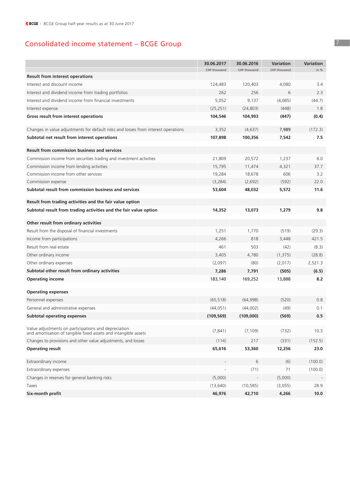## Consolidated income statement – BCGE Group

|                                                                                                                         | 30.06.2017   | 30.06.2016   | <b>Variation</b> | <b>Variation</b> |
|-------------------------------------------------------------------------------------------------------------------------|--------------|--------------|------------------|------------------|
|                                                                                                                         | CHF thousand | CHF thousand | CHF thousand     | in %             |
| <b>Result from interest operations</b>                                                                                  |              |              |                  |                  |
| Interest and discount income                                                                                            | 124,483      | 120,403      | 4,080            | 3.4              |
| Interest and dividend income from trading portfolios                                                                    | 262          | 256          | 6                | 2.3              |
| Interest and dividend income from financial investments                                                                 | 5,052        | 9,137        | (4,085)          | (44.7)           |
| Interest expense                                                                                                        | (25, 251)    | (24, 803)    | (448)            | 1.8              |
| Gross result from interest operations                                                                                   | 104,546      | 104,993      | (447)            | (0.4)            |
| Changes in value adjustments for default risks and losses from interest operations                                      | 3,352        | (4,637)      | 7,989            | (172.3)          |
| Subtotal net result from interest operations                                                                            | 107,898      | 100,356      | 7,542            | 7.5              |
| <b>Result from commission business and services</b>                                                                     |              |              |                  |                  |
| Commission income from securities trading and investment activities                                                     | 21,809       | 20,572       | 1,237            | 6.0              |
| Commission income from lending activities                                                                               | 15,795       | 11,474       | 4,321            | 37.7             |
| Commission income from other services                                                                                   | 19,284       | 18,678       | 606              | 3.2              |
| Commission expense                                                                                                      | (3, 284)     | (2,692)      | (592)            | 22.0             |
| Subtotal result from commission business and services                                                                   | 53,604       | 48,032       | 5,572            | 11.6             |
| Result from trading activities and the fair value option                                                                |              |              |                  |                  |
| Subtotal result from trading activities and the fair value option                                                       | 14,352       | 13,073       | 1,279            | 9.8              |
| Other result from ordinary activities                                                                                   |              |              |                  |                  |
| Result from the disposal of financial investments                                                                       | 1,251        | 1,770        | (519)            | (29.3)           |
| Income from participations                                                                                              | 4,266        | 818          | 3,448            | 421.5            |
| Result from real estate                                                                                                 | 461          | 503          | (42)             | (8.3)            |
| Other ordinary income                                                                                                   | 3,405        | 4,780        | (1, 375)         | (28.8)           |
| Other ordinary expenses                                                                                                 | (2,097)      | (80)         | (2,017)          | 2,521.3          |
| Subtotal other result from ordinary activities                                                                          | 7,286        | 7,791        | (505)            | (6.5)            |
| <b>Operating income</b>                                                                                                 | 183,140      | 169,252      | 13,888           | 8.2              |
| <b>Operating expenses</b>                                                                                               |              |              |                  |                  |
| Personnel expenses                                                                                                      | (65, 518)    | (64,998)     | (520)            | 0.8              |
| General and administrative expenses                                                                                     | (44, 051)    | (44,002)     | (49)             | 0.1              |
| <b>Subtotal operating expenses</b>                                                                                      | (109, 569)   | (109,000)    | (569)            | 0.5              |
| Value adjustments on participations and depreciation<br>and amortisation of tangible fixed assets and intangible assets | (7, 841)     | (7, 109)     | (732)            | 10.3             |
| Changes to provisions and other value adjustments, and losses                                                           | (114)        | 217          | (331)            | (152.5)          |
| <b>Operating result</b>                                                                                                 | 65,616       | 53,360       | 12,256           | 23.0             |
| Extraordinary income                                                                                                    |              | 6            | (6)              | (100.0)          |
| Extraordinary expenses                                                                                                  |              | (71)         | 71               | (100.0)          |
| Changes in reserves for general banking risks                                                                           | (5,000)      |              | (5,000)          |                  |
| Taxes                                                                                                                   | (13, 640)    | (10, 585)    | (3,055)          | 28.9             |
| Six-month profit                                                                                                        | 46,976       | 42,710       | 4,266            | 10.0             |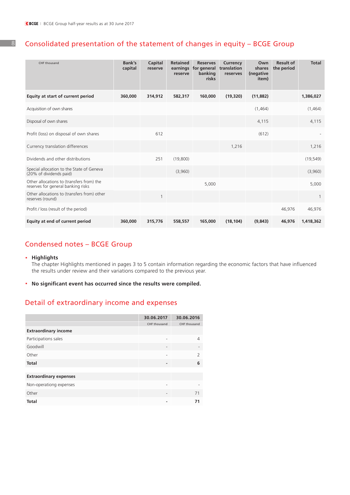8

## Consolidated presentation of the statement of changes in equity – BCGE Group

| CHF thousand                                                                    | Bank's<br>capital | Capital<br>reserve | <b>Retained</b><br>earnings<br>reserve | <b>Reserves</b><br>for general<br>banking<br>risks | Currency<br>translation<br>reserves | Own<br>shares<br>(negative<br>item) | <b>Result of</b><br>the period | <b>Total</b>   |
|---------------------------------------------------------------------------------|-------------------|--------------------|----------------------------------------|----------------------------------------------------|-------------------------------------|-------------------------------------|--------------------------------|----------------|
| Equity at start of current period                                               | 360,000           | 314,912            | 582,317                                | 160,000                                            | (19, 320)                           | (11, 882)                           |                                | 1,386,027      |
| Acquisition of own shares                                                       |                   |                    |                                        |                                                    |                                     | (1,464)                             |                                | (1,464)        |
| Disposal of own shares                                                          |                   |                    |                                        |                                                    |                                     | 4,115                               |                                | 4,115          |
| Profit (loss) on disposal of own shares                                         |                   | 612                |                                        |                                                    |                                     | (612)                               |                                |                |
| Currency translation differences                                                |                   |                    |                                        |                                                    | 1,216                               |                                     |                                | 1,216          |
| Dividends and other distributions                                               |                   | 251                | (19,800)                               |                                                    |                                     |                                     |                                | (19, 549)      |
| Special allocation to the State of Geneva<br>(20% of dividends paid)            |                   |                    | (3,960)                                |                                                    |                                     |                                     |                                | (3,960)        |
| Other allocations to (transfers from) the<br>reserves for general banking risks |                   |                    |                                        | 5,000                                              |                                     |                                     |                                | 5,000          |
| Other allocations to (transfers from) other<br>reserves (round)                 |                   | 1                  |                                        |                                                    |                                     |                                     |                                | $\overline{1}$ |
| Profit / loss (result of the period)                                            |                   |                    |                                        |                                                    |                                     |                                     | 46,976                         | 46,976         |
| Equity at end of current period                                                 | 360,000           | 315,776            | 558,557                                | 165,000                                            | (18, 104)                           | (9,843)                             | 46,976                         | 1,418,362      |

## Condensed notes – BCGE Group

## **. Highlights**

 The chapter Highlights mentioned in pages 3 to 5 contain information regarding the economic factors that have influenced the results under review and their variations compared to the previous year.

**. No significant event has occurred since the results were compiled.**

## Detail of extraordinary income and expenses

|                               | 30.06.2017               | 30.06.2016               |
|-------------------------------|--------------------------|--------------------------|
|                               | CHF thousand             | CHF thousand             |
| <b>Extraordinary income</b>   |                          |                          |
| Participations sales          |                          | 4                        |
| Goodwill                      | $\overline{\phantom{m}}$ | $\overline{\phantom{a}}$ |
| Other                         |                          | $\overline{2}$           |
| <b>Total</b>                  | ٠                        | 6                        |
|                               |                          |                          |
| <b>Extraordinary expenses</b> |                          |                          |
| Non-operationg expenses       | -                        |                          |
| Other                         | $\overline{\phantom{m}}$ | 71                       |
| <b>Total</b>                  |                          | 71                       |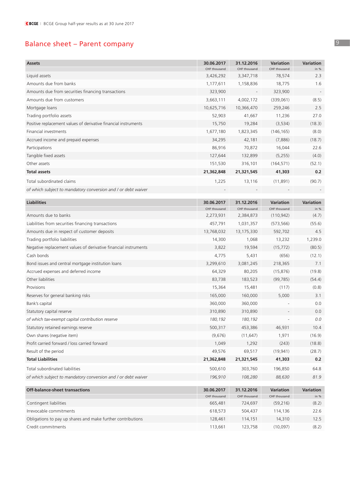## Balance sheet – Parent company

| CHF thousand<br>CHF thousand<br>in $%$<br>CHF thousand<br>78,574<br>Liquid assets<br>3,426,292<br>3,347,718<br>2.3<br>1.6<br>Amounts due from banks<br>1,177,611<br>18,775<br>1,158,836<br>Amounts due from securities financing transactions<br>323,900<br>323,900<br>4,002,172<br>(8.5)<br>Amounts due from customers<br>3,663,111<br>(339,061)<br>10,625,716<br>10,366,470<br>259,246<br>2.5<br>Mortgage loans<br>27.0<br>Trading portfolio assets<br>52,903<br>41,667<br>11,236<br>Positive replacement values of derivative financial instruments<br>19,284<br>(3, 534)<br>(18.3)<br>15,750<br>Financial investments<br>1,677,180<br>1,823,345<br>(146, 165)<br>(8.0)<br>Accrued income and prepaid expenses<br>34,295<br>42,181<br>(18.7)<br>(7,886)<br>86,916<br>70,872<br>22.6<br>Participations<br>16,044<br>127,644<br>132,899<br>(4.0)<br>Tangible fixed assets<br>(5,255)<br>151,530<br>316,101<br>(164, 571)<br>(52.1)<br>Other assets<br><b>Total assets</b><br>0.2<br>21,362,848<br>21,321,545<br>41,303<br>Total subordinated claims<br>1,225<br>13,116<br>(11, 891)<br>(90.7)<br>of which subject to mandatory conversion and I or debt waiver<br><b>Liabilities</b><br>30.06.2017<br>31.12.2016<br><b>Variation</b><br>Variation<br>CHF thousand<br>CHF thousand<br>CHF thousand<br>in %<br>Amounts due to banks<br>2,273,931<br>2,384,873<br>(110, 942)<br>(4.7)<br>Liabilities from securities financing transactions<br>457,791<br>(55.6)<br>1,031,357<br>(573, 566)<br>Amounts due in respect of customer deposits<br>13,768,032<br>13,175,330<br>592,702<br>4.5<br>Trading portfolio liabilities<br>14,300<br>1,239.0<br>1,068<br>13,232<br>Negative replacement values of derivative financial instruments<br>(80.5)<br>3,822<br>19,594<br>(15, 772)<br>Cash bonds<br>4,775<br>(12.1)<br>5,431<br>(656)<br>Bond issues and central mortgage institution loans<br>3,299,610<br>3,081,245<br>218,365<br>7.1<br>Accrued expenses and deferred income<br>64,329<br>80,205<br>(19.8)<br>(15, 876)<br>Other liabilities<br>83,738<br>183,523<br>(99, 785)<br>(54.4)<br>Provisions<br>15,364<br>15,481<br>(0.8)<br>(117)<br>165,000<br>5,000<br>Reserves for general banking risks<br>160,000<br>3.1<br>360,000<br>0.0<br>Bank's capital<br>360,000<br>310,890<br>0.0<br>Statutory capital reserve<br>310,890<br>0.0<br>of which tax-exempt capital contribution reserve<br>180,192<br>180,192<br>500,317<br>Statutory retained earnings reserve<br>453,386<br>46,931<br>10.4<br>Own shares (negative item)<br>(9,676)<br>(16.9)<br>(11, 647)<br>1,971<br>Profit carried forward / loss carried forward<br>1,049<br>1,292<br>(243)<br>(18.8)<br>Result of the period<br>49,576<br>69,517<br>(19, 941)<br>(28.7)<br><b>Total Liabilities</b><br>21,362,848<br>21,321,545<br>41,303<br>0.2<br>Total subordinated liabilities<br>500,610<br>303,760<br>196,850<br>64.8<br>of which subject to mandatory conversion and / or debt waiver<br>196,910<br>108,280<br>88,630<br>81.9<br>Off-balance-sheet transactions<br>Variation<br>Variation<br>30.06.2017<br>31.12.2016<br>CHF thousand<br>CHF thousand<br>in %<br>CHF thousand<br>Contingent liabilities<br>665,481<br>724,697<br>(59,216)<br>(8.2)<br>Irrevocable commitments<br>618,573<br>504,437<br>114,136<br>22.6<br>Obligations to pay up shares and make further contributions<br>128,461<br>114,151<br>14,310<br>12.5<br>(8.2)<br>Credit commitments<br>113,661<br>123,758<br>(10,097) |               |            |            |           |           |
|----------------------------------------------------------------------------------------------------------------------------------------------------------------------------------------------------------------------------------------------------------------------------------------------------------------------------------------------------------------------------------------------------------------------------------------------------------------------------------------------------------------------------------------------------------------------------------------------------------------------------------------------------------------------------------------------------------------------------------------------------------------------------------------------------------------------------------------------------------------------------------------------------------------------------------------------------------------------------------------------------------------------------------------------------------------------------------------------------------------------------------------------------------------------------------------------------------------------------------------------------------------------------------------------------------------------------------------------------------------------------------------------------------------------------------------------------------------------------------------------------------------------------------------------------------------------------------------------------------------------------------------------------------------------------------------------------------------------------------------------------------------------------------------------------------------------------------------------------------------------------------------------------------------------------------------------------------------------------------------------------------------------------------------------------------------------------------------------------------------------------------------------------------------------------------------------------------------------------------------------------------------------------------------------------------------------------------------------------------------------------------------------------------------------------------------------------------------------------------------------------------------------------------------------------------------------------------------------------------------------------------------------------------------------------------------------------------------------------------------------------------------------------------------------------------------------------------------------------------------------------------------------------------------------------------------------------------------------------------------------------------------------------------------------------------------------------------------------------------------------------------------------------------------------------------------------------------------------------------------------------------------------------------------------------------------------------------------------------------------------------------------------------------------------------------------------------------------|---------------|------------|------------|-----------|-----------|
|                                                                                                                                                                                                                                                                                                                                                                                                                                                                                                                                                                                                                                                                                                                                                                                                                                                                                                                                                                                                                                                                                                                                                                                                                                                                                                                                                                                                                                                                                                                                                                                                                                                                                                                                                                                                                                                                                                                                                                                                                                                                                                                                                                                                                                                                                                                                                                                                                                                                                                                                                                                                                                                                                                                                                                                                                                                                                                                                                                                                                                                                                                                                                                                                                                                                                                                                                                                                                                                                | <b>Assets</b> | 30.06.2017 | 31.12.2016 | Variation | Variation |
|                                                                                                                                                                                                                                                                                                                                                                                                                                                                                                                                                                                                                                                                                                                                                                                                                                                                                                                                                                                                                                                                                                                                                                                                                                                                                                                                                                                                                                                                                                                                                                                                                                                                                                                                                                                                                                                                                                                                                                                                                                                                                                                                                                                                                                                                                                                                                                                                                                                                                                                                                                                                                                                                                                                                                                                                                                                                                                                                                                                                                                                                                                                                                                                                                                                                                                                                                                                                                                                                |               |            |            |           |           |
|                                                                                                                                                                                                                                                                                                                                                                                                                                                                                                                                                                                                                                                                                                                                                                                                                                                                                                                                                                                                                                                                                                                                                                                                                                                                                                                                                                                                                                                                                                                                                                                                                                                                                                                                                                                                                                                                                                                                                                                                                                                                                                                                                                                                                                                                                                                                                                                                                                                                                                                                                                                                                                                                                                                                                                                                                                                                                                                                                                                                                                                                                                                                                                                                                                                                                                                                                                                                                                                                |               |            |            |           |           |
|                                                                                                                                                                                                                                                                                                                                                                                                                                                                                                                                                                                                                                                                                                                                                                                                                                                                                                                                                                                                                                                                                                                                                                                                                                                                                                                                                                                                                                                                                                                                                                                                                                                                                                                                                                                                                                                                                                                                                                                                                                                                                                                                                                                                                                                                                                                                                                                                                                                                                                                                                                                                                                                                                                                                                                                                                                                                                                                                                                                                                                                                                                                                                                                                                                                                                                                                                                                                                                                                |               |            |            |           |           |
|                                                                                                                                                                                                                                                                                                                                                                                                                                                                                                                                                                                                                                                                                                                                                                                                                                                                                                                                                                                                                                                                                                                                                                                                                                                                                                                                                                                                                                                                                                                                                                                                                                                                                                                                                                                                                                                                                                                                                                                                                                                                                                                                                                                                                                                                                                                                                                                                                                                                                                                                                                                                                                                                                                                                                                                                                                                                                                                                                                                                                                                                                                                                                                                                                                                                                                                                                                                                                                                                |               |            |            |           |           |
|                                                                                                                                                                                                                                                                                                                                                                                                                                                                                                                                                                                                                                                                                                                                                                                                                                                                                                                                                                                                                                                                                                                                                                                                                                                                                                                                                                                                                                                                                                                                                                                                                                                                                                                                                                                                                                                                                                                                                                                                                                                                                                                                                                                                                                                                                                                                                                                                                                                                                                                                                                                                                                                                                                                                                                                                                                                                                                                                                                                                                                                                                                                                                                                                                                                                                                                                                                                                                                                                |               |            |            |           |           |
|                                                                                                                                                                                                                                                                                                                                                                                                                                                                                                                                                                                                                                                                                                                                                                                                                                                                                                                                                                                                                                                                                                                                                                                                                                                                                                                                                                                                                                                                                                                                                                                                                                                                                                                                                                                                                                                                                                                                                                                                                                                                                                                                                                                                                                                                                                                                                                                                                                                                                                                                                                                                                                                                                                                                                                                                                                                                                                                                                                                                                                                                                                                                                                                                                                                                                                                                                                                                                                                                |               |            |            |           |           |
|                                                                                                                                                                                                                                                                                                                                                                                                                                                                                                                                                                                                                                                                                                                                                                                                                                                                                                                                                                                                                                                                                                                                                                                                                                                                                                                                                                                                                                                                                                                                                                                                                                                                                                                                                                                                                                                                                                                                                                                                                                                                                                                                                                                                                                                                                                                                                                                                                                                                                                                                                                                                                                                                                                                                                                                                                                                                                                                                                                                                                                                                                                                                                                                                                                                                                                                                                                                                                                                                |               |            |            |           |           |
|                                                                                                                                                                                                                                                                                                                                                                                                                                                                                                                                                                                                                                                                                                                                                                                                                                                                                                                                                                                                                                                                                                                                                                                                                                                                                                                                                                                                                                                                                                                                                                                                                                                                                                                                                                                                                                                                                                                                                                                                                                                                                                                                                                                                                                                                                                                                                                                                                                                                                                                                                                                                                                                                                                                                                                                                                                                                                                                                                                                                                                                                                                                                                                                                                                                                                                                                                                                                                                                                |               |            |            |           |           |
|                                                                                                                                                                                                                                                                                                                                                                                                                                                                                                                                                                                                                                                                                                                                                                                                                                                                                                                                                                                                                                                                                                                                                                                                                                                                                                                                                                                                                                                                                                                                                                                                                                                                                                                                                                                                                                                                                                                                                                                                                                                                                                                                                                                                                                                                                                                                                                                                                                                                                                                                                                                                                                                                                                                                                                                                                                                                                                                                                                                                                                                                                                                                                                                                                                                                                                                                                                                                                                                                |               |            |            |           |           |
|                                                                                                                                                                                                                                                                                                                                                                                                                                                                                                                                                                                                                                                                                                                                                                                                                                                                                                                                                                                                                                                                                                                                                                                                                                                                                                                                                                                                                                                                                                                                                                                                                                                                                                                                                                                                                                                                                                                                                                                                                                                                                                                                                                                                                                                                                                                                                                                                                                                                                                                                                                                                                                                                                                                                                                                                                                                                                                                                                                                                                                                                                                                                                                                                                                                                                                                                                                                                                                                                |               |            |            |           |           |
|                                                                                                                                                                                                                                                                                                                                                                                                                                                                                                                                                                                                                                                                                                                                                                                                                                                                                                                                                                                                                                                                                                                                                                                                                                                                                                                                                                                                                                                                                                                                                                                                                                                                                                                                                                                                                                                                                                                                                                                                                                                                                                                                                                                                                                                                                                                                                                                                                                                                                                                                                                                                                                                                                                                                                                                                                                                                                                                                                                                                                                                                                                                                                                                                                                                                                                                                                                                                                                                                |               |            |            |           |           |
|                                                                                                                                                                                                                                                                                                                                                                                                                                                                                                                                                                                                                                                                                                                                                                                                                                                                                                                                                                                                                                                                                                                                                                                                                                                                                                                                                                                                                                                                                                                                                                                                                                                                                                                                                                                                                                                                                                                                                                                                                                                                                                                                                                                                                                                                                                                                                                                                                                                                                                                                                                                                                                                                                                                                                                                                                                                                                                                                                                                                                                                                                                                                                                                                                                                                                                                                                                                                                                                                |               |            |            |           |           |
|                                                                                                                                                                                                                                                                                                                                                                                                                                                                                                                                                                                                                                                                                                                                                                                                                                                                                                                                                                                                                                                                                                                                                                                                                                                                                                                                                                                                                                                                                                                                                                                                                                                                                                                                                                                                                                                                                                                                                                                                                                                                                                                                                                                                                                                                                                                                                                                                                                                                                                                                                                                                                                                                                                                                                                                                                                                                                                                                                                                                                                                                                                                                                                                                                                                                                                                                                                                                                                                                |               |            |            |           |           |
|                                                                                                                                                                                                                                                                                                                                                                                                                                                                                                                                                                                                                                                                                                                                                                                                                                                                                                                                                                                                                                                                                                                                                                                                                                                                                                                                                                                                                                                                                                                                                                                                                                                                                                                                                                                                                                                                                                                                                                                                                                                                                                                                                                                                                                                                                                                                                                                                                                                                                                                                                                                                                                                                                                                                                                                                                                                                                                                                                                                                                                                                                                                                                                                                                                                                                                                                                                                                                                                                |               |            |            |           |           |
|                                                                                                                                                                                                                                                                                                                                                                                                                                                                                                                                                                                                                                                                                                                                                                                                                                                                                                                                                                                                                                                                                                                                                                                                                                                                                                                                                                                                                                                                                                                                                                                                                                                                                                                                                                                                                                                                                                                                                                                                                                                                                                                                                                                                                                                                                                                                                                                                                                                                                                                                                                                                                                                                                                                                                                                                                                                                                                                                                                                                                                                                                                                                                                                                                                                                                                                                                                                                                                                                |               |            |            |           |           |
|                                                                                                                                                                                                                                                                                                                                                                                                                                                                                                                                                                                                                                                                                                                                                                                                                                                                                                                                                                                                                                                                                                                                                                                                                                                                                                                                                                                                                                                                                                                                                                                                                                                                                                                                                                                                                                                                                                                                                                                                                                                                                                                                                                                                                                                                                                                                                                                                                                                                                                                                                                                                                                                                                                                                                                                                                                                                                                                                                                                                                                                                                                                                                                                                                                                                                                                                                                                                                                                                |               |            |            |           |           |
|                                                                                                                                                                                                                                                                                                                                                                                                                                                                                                                                                                                                                                                                                                                                                                                                                                                                                                                                                                                                                                                                                                                                                                                                                                                                                                                                                                                                                                                                                                                                                                                                                                                                                                                                                                                                                                                                                                                                                                                                                                                                                                                                                                                                                                                                                                                                                                                                                                                                                                                                                                                                                                                                                                                                                                                                                                                                                                                                                                                                                                                                                                                                                                                                                                                                                                                                                                                                                                                                |               |            |            |           |           |
|                                                                                                                                                                                                                                                                                                                                                                                                                                                                                                                                                                                                                                                                                                                                                                                                                                                                                                                                                                                                                                                                                                                                                                                                                                                                                                                                                                                                                                                                                                                                                                                                                                                                                                                                                                                                                                                                                                                                                                                                                                                                                                                                                                                                                                                                                                                                                                                                                                                                                                                                                                                                                                                                                                                                                                                                                                                                                                                                                                                                                                                                                                                                                                                                                                                                                                                                                                                                                                                                |               |            |            |           |           |
|                                                                                                                                                                                                                                                                                                                                                                                                                                                                                                                                                                                                                                                                                                                                                                                                                                                                                                                                                                                                                                                                                                                                                                                                                                                                                                                                                                                                                                                                                                                                                                                                                                                                                                                                                                                                                                                                                                                                                                                                                                                                                                                                                                                                                                                                                                                                                                                                                                                                                                                                                                                                                                                                                                                                                                                                                                                                                                                                                                                                                                                                                                                                                                                                                                                                                                                                                                                                                                                                |               |            |            |           |           |
|                                                                                                                                                                                                                                                                                                                                                                                                                                                                                                                                                                                                                                                                                                                                                                                                                                                                                                                                                                                                                                                                                                                                                                                                                                                                                                                                                                                                                                                                                                                                                                                                                                                                                                                                                                                                                                                                                                                                                                                                                                                                                                                                                                                                                                                                                                                                                                                                                                                                                                                                                                                                                                                                                                                                                                                                                                                                                                                                                                                                                                                                                                                                                                                                                                                                                                                                                                                                                                                                |               |            |            |           |           |
|                                                                                                                                                                                                                                                                                                                                                                                                                                                                                                                                                                                                                                                                                                                                                                                                                                                                                                                                                                                                                                                                                                                                                                                                                                                                                                                                                                                                                                                                                                                                                                                                                                                                                                                                                                                                                                                                                                                                                                                                                                                                                                                                                                                                                                                                                                                                                                                                                                                                                                                                                                                                                                                                                                                                                                                                                                                                                                                                                                                                                                                                                                                                                                                                                                                                                                                                                                                                                                                                |               |            |            |           |           |
|                                                                                                                                                                                                                                                                                                                                                                                                                                                                                                                                                                                                                                                                                                                                                                                                                                                                                                                                                                                                                                                                                                                                                                                                                                                                                                                                                                                                                                                                                                                                                                                                                                                                                                                                                                                                                                                                                                                                                                                                                                                                                                                                                                                                                                                                                                                                                                                                                                                                                                                                                                                                                                                                                                                                                                                                                                                                                                                                                                                                                                                                                                                                                                                                                                                                                                                                                                                                                                                                |               |            |            |           |           |
|                                                                                                                                                                                                                                                                                                                                                                                                                                                                                                                                                                                                                                                                                                                                                                                                                                                                                                                                                                                                                                                                                                                                                                                                                                                                                                                                                                                                                                                                                                                                                                                                                                                                                                                                                                                                                                                                                                                                                                                                                                                                                                                                                                                                                                                                                                                                                                                                                                                                                                                                                                                                                                                                                                                                                                                                                                                                                                                                                                                                                                                                                                                                                                                                                                                                                                                                                                                                                                                                |               |            |            |           |           |
|                                                                                                                                                                                                                                                                                                                                                                                                                                                                                                                                                                                                                                                                                                                                                                                                                                                                                                                                                                                                                                                                                                                                                                                                                                                                                                                                                                                                                                                                                                                                                                                                                                                                                                                                                                                                                                                                                                                                                                                                                                                                                                                                                                                                                                                                                                                                                                                                                                                                                                                                                                                                                                                                                                                                                                                                                                                                                                                                                                                                                                                                                                                                                                                                                                                                                                                                                                                                                                                                |               |            |            |           |           |
|                                                                                                                                                                                                                                                                                                                                                                                                                                                                                                                                                                                                                                                                                                                                                                                                                                                                                                                                                                                                                                                                                                                                                                                                                                                                                                                                                                                                                                                                                                                                                                                                                                                                                                                                                                                                                                                                                                                                                                                                                                                                                                                                                                                                                                                                                                                                                                                                                                                                                                                                                                                                                                                                                                                                                                                                                                                                                                                                                                                                                                                                                                                                                                                                                                                                                                                                                                                                                                                                |               |            |            |           |           |
|                                                                                                                                                                                                                                                                                                                                                                                                                                                                                                                                                                                                                                                                                                                                                                                                                                                                                                                                                                                                                                                                                                                                                                                                                                                                                                                                                                                                                                                                                                                                                                                                                                                                                                                                                                                                                                                                                                                                                                                                                                                                                                                                                                                                                                                                                                                                                                                                                                                                                                                                                                                                                                                                                                                                                                                                                                                                                                                                                                                                                                                                                                                                                                                                                                                                                                                                                                                                                                                                |               |            |            |           |           |
|                                                                                                                                                                                                                                                                                                                                                                                                                                                                                                                                                                                                                                                                                                                                                                                                                                                                                                                                                                                                                                                                                                                                                                                                                                                                                                                                                                                                                                                                                                                                                                                                                                                                                                                                                                                                                                                                                                                                                                                                                                                                                                                                                                                                                                                                                                                                                                                                                                                                                                                                                                                                                                                                                                                                                                                                                                                                                                                                                                                                                                                                                                                                                                                                                                                                                                                                                                                                                                                                |               |            |            |           |           |
|                                                                                                                                                                                                                                                                                                                                                                                                                                                                                                                                                                                                                                                                                                                                                                                                                                                                                                                                                                                                                                                                                                                                                                                                                                                                                                                                                                                                                                                                                                                                                                                                                                                                                                                                                                                                                                                                                                                                                                                                                                                                                                                                                                                                                                                                                                                                                                                                                                                                                                                                                                                                                                                                                                                                                                                                                                                                                                                                                                                                                                                                                                                                                                                                                                                                                                                                                                                                                                                                |               |            |            |           |           |
|                                                                                                                                                                                                                                                                                                                                                                                                                                                                                                                                                                                                                                                                                                                                                                                                                                                                                                                                                                                                                                                                                                                                                                                                                                                                                                                                                                                                                                                                                                                                                                                                                                                                                                                                                                                                                                                                                                                                                                                                                                                                                                                                                                                                                                                                                                                                                                                                                                                                                                                                                                                                                                                                                                                                                                                                                                                                                                                                                                                                                                                                                                                                                                                                                                                                                                                                                                                                                                                                |               |            |            |           |           |
|                                                                                                                                                                                                                                                                                                                                                                                                                                                                                                                                                                                                                                                                                                                                                                                                                                                                                                                                                                                                                                                                                                                                                                                                                                                                                                                                                                                                                                                                                                                                                                                                                                                                                                                                                                                                                                                                                                                                                                                                                                                                                                                                                                                                                                                                                                                                                                                                                                                                                                                                                                                                                                                                                                                                                                                                                                                                                                                                                                                                                                                                                                                                                                                                                                                                                                                                                                                                                                                                |               |            |            |           |           |
|                                                                                                                                                                                                                                                                                                                                                                                                                                                                                                                                                                                                                                                                                                                                                                                                                                                                                                                                                                                                                                                                                                                                                                                                                                                                                                                                                                                                                                                                                                                                                                                                                                                                                                                                                                                                                                                                                                                                                                                                                                                                                                                                                                                                                                                                                                                                                                                                                                                                                                                                                                                                                                                                                                                                                                                                                                                                                                                                                                                                                                                                                                                                                                                                                                                                                                                                                                                                                                                                |               |            |            |           |           |
|                                                                                                                                                                                                                                                                                                                                                                                                                                                                                                                                                                                                                                                                                                                                                                                                                                                                                                                                                                                                                                                                                                                                                                                                                                                                                                                                                                                                                                                                                                                                                                                                                                                                                                                                                                                                                                                                                                                                                                                                                                                                                                                                                                                                                                                                                                                                                                                                                                                                                                                                                                                                                                                                                                                                                                                                                                                                                                                                                                                                                                                                                                                                                                                                                                                                                                                                                                                                                                                                |               |            |            |           |           |
|                                                                                                                                                                                                                                                                                                                                                                                                                                                                                                                                                                                                                                                                                                                                                                                                                                                                                                                                                                                                                                                                                                                                                                                                                                                                                                                                                                                                                                                                                                                                                                                                                                                                                                                                                                                                                                                                                                                                                                                                                                                                                                                                                                                                                                                                                                                                                                                                                                                                                                                                                                                                                                                                                                                                                                                                                                                                                                                                                                                                                                                                                                                                                                                                                                                                                                                                                                                                                                                                |               |            |            |           |           |
|                                                                                                                                                                                                                                                                                                                                                                                                                                                                                                                                                                                                                                                                                                                                                                                                                                                                                                                                                                                                                                                                                                                                                                                                                                                                                                                                                                                                                                                                                                                                                                                                                                                                                                                                                                                                                                                                                                                                                                                                                                                                                                                                                                                                                                                                                                                                                                                                                                                                                                                                                                                                                                                                                                                                                                                                                                                                                                                                                                                                                                                                                                                                                                                                                                                                                                                                                                                                                                                                |               |            |            |           |           |
|                                                                                                                                                                                                                                                                                                                                                                                                                                                                                                                                                                                                                                                                                                                                                                                                                                                                                                                                                                                                                                                                                                                                                                                                                                                                                                                                                                                                                                                                                                                                                                                                                                                                                                                                                                                                                                                                                                                                                                                                                                                                                                                                                                                                                                                                                                                                                                                                                                                                                                                                                                                                                                                                                                                                                                                                                                                                                                                                                                                                                                                                                                                                                                                                                                                                                                                                                                                                                                                                |               |            |            |           |           |
|                                                                                                                                                                                                                                                                                                                                                                                                                                                                                                                                                                                                                                                                                                                                                                                                                                                                                                                                                                                                                                                                                                                                                                                                                                                                                                                                                                                                                                                                                                                                                                                                                                                                                                                                                                                                                                                                                                                                                                                                                                                                                                                                                                                                                                                                                                                                                                                                                                                                                                                                                                                                                                                                                                                                                                                                                                                                                                                                                                                                                                                                                                                                                                                                                                                                                                                                                                                                                                                                |               |            |            |           |           |
|                                                                                                                                                                                                                                                                                                                                                                                                                                                                                                                                                                                                                                                                                                                                                                                                                                                                                                                                                                                                                                                                                                                                                                                                                                                                                                                                                                                                                                                                                                                                                                                                                                                                                                                                                                                                                                                                                                                                                                                                                                                                                                                                                                                                                                                                                                                                                                                                                                                                                                                                                                                                                                                                                                                                                                                                                                                                                                                                                                                                                                                                                                                                                                                                                                                                                                                                                                                                                                                                |               |            |            |           |           |
|                                                                                                                                                                                                                                                                                                                                                                                                                                                                                                                                                                                                                                                                                                                                                                                                                                                                                                                                                                                                                                                                                                                                                                                                                                                                                                                                                                                                                                                                                                                                                                                                                                                                                                                                                                                                                                                                                                                                                                                                                                                                                                                                                                                                                                                                                                                                                                                                                                                                                                                                                                                                                                                                                                                                                                                                                                                                                                                                                                                                                                                                                                                                                                                                                                                                                                                                                                                                                                                                |               |            |            |           |           |
|                                                                                                                                                                                                                                                                                                                                                                                                                                                                                                                                                                                                                                                                                                                                                                                                                                                                                                                                                                                                                                                                                                                                                                                                                                                                                                                                                                                                                                                                                                                                                                                                                                                                                                                                                                                                                                                                                                                                                                                                                                                                                                                                                                                                                                                                                                                                                                                                                                                                                                                                                                                                                                                                                                                                                                                                                                                                                                                                                                                                                                                                                                                                                                                                                                                                                                                                                                                                                                                                |               |            |            |           |           |
|                                                                                                                                                                                                                                                                                                                                                                                                                                                                                                                                                                                                                                                                                                                                                                                                                                                                                                                                                                                                                                                                                                                                                                                                                                                                                                                                                                                                                                                                                                                                                                                                                                                                                                                                                                                                                                                                                                                                                                                                                                                                                                                                                                                                                                                                                                                                                                                                                                                                                                                                                                                                                                                                                                                                                                                                                                                                                                                                                                                                                                                                                                                                                                                                                                                                                                                                                                                                                                                                |               |            |            |           |           |
|                                                                                                                                                                                                                                                                                                                                                                                                                                                                                                                                                                                                                                                                                                                                                                                                                                                                                                                                                                                                                                                                                                                                                                                                                                                                                                                                                                                                                                                                                                                                                                                                                                                                                                                                                                                                                                                                                                                                                                                                                                                                                                                                                                                                                                                                                                                                                                                                                                                                                                                                                                                                                                                                                                                                                                                                                                                                                                                                                                                                                                                                                                                                                                                                                                                                                                                                                                                                                                                                |               |            |            |           |           |
|                                                                                                                                                                                                                                                                                                                                                                                                                                                                                                                                                                                                                                                                                                                                                                                                                                                                                                                                                                                                                                                                                                                                                                                                                                                                                                                                                                                                                                                                                                                                                                                                                                                                                                                                                                                                                                                                                                                                                                                                                                                                                                                                                                                                                                                                                                                                                                                                                                                                                                                                                                                                                                                                                                                                                                                                                                                                                                                                                                                                                                                                                                                                                                                                                                                                                                                                                                                                                                                                |               |            |            |           |           |
|                                                                                                                                                                                                                                                                                                                                                                                                                                                                                                                                                                                                                                                                                                                                                                                                                                                                                                                                                                                                                                                                                                                                                                                                                                                                                                                                                                                                                                                                                                                                                                                                                                                                                                                                                                                                                                                                                                                                                                                                                                                                                                                                                                                                                                                                                                                                                                                                                                                                                                                                                                                                                                                                                                                                                                                                                                                                                                                                                                                                                                                                                                                                                                                                                                                                                                                                                                                                                                                                |               |            |            |           |           |
|                                                                                                                                                                                                                                                                                                                                                                                                                                                                                                                                                                                                                                                                                                                                                                                                                                                                                                                                                                                                                                                                                                                                                                                                                                                                                                                                                                                                                                                                                                                                                                                                                                                                                                                                                                                                                                                                                                                                                                                                                                                                                                                                                                                                                                                                                                                                                                                                                                                                                                                                                                                                                                                                                                                                                                                                                                                                                                                                                                                                                                                                                                                                                                                                                                                                                                                                                                                                                                                                |               |            |            |           |           |
|                                                                                                                                                                                                                                                                                                                                                                                                                                                                                                                                                                                                                                                                                                                                                                                                                                                                                                                                                                                                                                                                                                                                                                                                                                                                                                                                                                                                                                                                                                                                                                                                                                                                                                                                                                                                                                                                                                                                                                                                                                                                                                                                                                                                                                                                                                                                                                                                                                                                                                                                                                                                                                                                                                                                                                                                                                                                                                                                                                                                                                                                                                                                                                                                                                                                                                                                                                                                                                                                |               |            |            |           |           |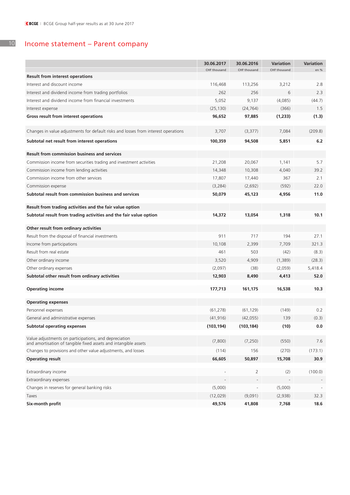#### 10 Income statement – Parent company

|                                                                                                                          | 30.06.2017   | 30.06.2016   | Variation    | <b>Variation</b> |
|--------------------------------------------------------------------------------------------------------------------------|--------------|--------------|--------------|------------------|
| <b>Result from interest operations</b>                                                                                   | CHF thousand | CHF thousand | CHF thousand | en %             |
| Interest and discount income                                                                                             | 116,468      | 113,256      | 3,212        | 2.8              |
| Interest and dividend income from trading portfolios                                                                     | 262          | 256          | 6            | 2.3              |
| Interest and dividend income from financial investments                                                                  | 5,052        | 9,137        | (4,085)      | (44.7)           |
|                                                                                                                          |              |              |              |                  |
| Interest expense                                                                                                         | (25, 130)    | (24, 764)    | (366)        | 1.5              |
| Gross result from interest operations                                                                                    | 96,652       | 97,885       | (1,233)      | (1.3)            |
| Changes in value adjustments for default risks and losses from interest operations                                       | 3,707        | (3, 377)     | 7,084        | (209.8)          |
| Subtotal net result from interest operations                                                                             | 100,359      | 94,508       | 5,851        | 6.2              |
| <b>Result from commission business and services</b>                                                                      |              |              |              |                  |
| Commission income from securities trading and investment activities                                                      | 21,208       | 20,067       | 1,141        | 5.7              |
| Commission income from lending activities                                                                                | 14,348       | 10,308       | 4,040        | 39.2             |
| Commission income from other services                                                                                    | 17,807       | 17,440       | 367          | 2.1              |
| Commission expense                                                                                                       | (3, 284)     | (2,692)      | (592)        | 22.0             |
| Subtotal result from commission business and services                                                                    | 50,079       | 45,123       | 4,956        | 11.0             |
|                                                                                                                          |              |              |              |                  |
| Result from trading activities and the fair value option                                                                 |              |              |              |                  |
| Subtotal result from trading activities and the fair value option                                                        | 14,372       | 13,054       | 1,318        | 10.1             |
| Other result from ordinary activities                                                                                    |              |              |              |                  |
| Result from the disposal of financial investments                                                                        | 911          | 717          | 194          | 27.1             |
| Income from participations                                                                                               | 10,108       | 2,399        | 7,709        | 321.3            |
| Result from real estate                                                                                                  | 461          | 503          | (42)         | (8.3)            |
| Other ordinary income                                                                                                    | 3,520        | 4,909        | (1,389)      | (28.3)           |
| Other ordinary expenses                                                                                                  | (2,097)      | (38)         | (2,059)      | 5,418.4          |
| Subtotal other result from ordinary activities                                                                           | 12,903       | 8,490        | 4,413        | 52.0             |
|                                                                                                                          |              |              |              |                  |
| <b>Operating income</b>                                                                                                  | 177,713      | 161,175      | 16,538       | 10.3             |
| <b>Operating expenses</b>                                                                                                |              |              |              |                  |
| Personnel expenses                                                                                                       | (61, 278)    | (61, 129)    | (149)        | 0.2              |
| General and administrative expenses                                                                                      | (41, 916)    | (42, 055)    | 139          | (0.3)            |
| <b>Subtotal operating expenses</b>                                                                                       | (103, 194)   | (103, 184)   | (10)         | 0.0              |
|                                                                                                                          |              |              |              |                  |
| Value adjustments on participations, and depreciation<br>and amortisation of tangible fixed assets and intangible assets | (7,800)      | (7, 250)     | (550)        | 7.6              |
| Changes to provisions and other value adjustments, and losses                                                            | (114)        | 156          | (270)        | (173.1)          |
| <b>Operating result</b>                                                                                                  | 66,605       | 50,897       | 15,708       | 30.9             |
| Extraordinary income                                                                                                     |              | 2            | (2)          | (100.0)          |
| Extraordinary expenses                                                                                                   |              |              |              |                  |
| Changes in reserves for general banking risks                                                                            | (5,000)      |              | (5,000)      |                  |
|                                                                                                                          | (12, 029)    | (9,091)      | (2,938)      | 32.3             |
| Taxes<br>Six-month profit                                                                                                | 49,576       | 41,808       | 7,768        | 18.6             |
|                                                                                                                          |              |              |              |                  |